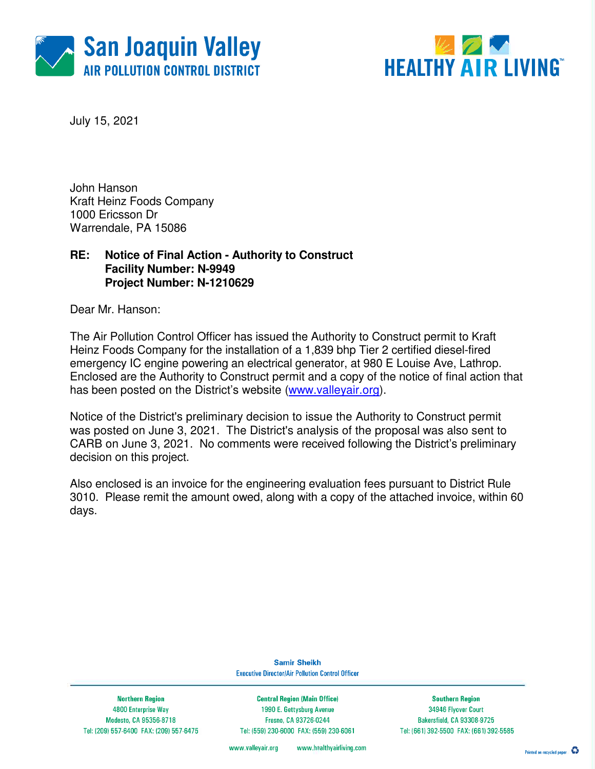



July 15, 2021

John Hanson Kraft Heinz Foods Company 1000 Ericsson Dr Warrendale, PA 15086

### **RE: Notice of Final Action - Authority to Construct Facility Number: N-9949 Project Number: N-1210629**

Dear Mr. Hanson:

The Air Pollution Control Officer has issued the Authority to Construct permit to Kraft Heinz Foods Company for the installation of a 1,839 bhp Tier 2 certified diesel-fired emergency IC engine powering an electrical generator, at 980 E Louise Ave, Lathrop. Enclosed are the Authority to Construct permit and a copy of the notice of final action that has been posted on the District's website (www.valleyair.org).

Notice of the District's preliminary decision to issue the Authority to Construct permit was posted on June 3, 2021. The District's analysis of the proposal was also sent to CARB on June 3, 2021. No comments were received following the District's preliminary decision on this project.

Also enclosed is an invoice for the engineering evaluation fees pursuant to District Rule 3010. Please remit the amount owed, along with a copy of the attached invoice, within 60 days.

> **Samir Sheikh Executive Director/Air Pollution Control Officer**

**Northern Region** 4800 Enterprise Way Modesto, CA 95356-8718 Tel: (209) 557-6400 FAX: (209) 557-6475

**Central Region (Main Office)** 1990 E. Gettysburg Avenue Fresno, CA 93726-0244 Tel: (559) 230-6000 FAX: (559) 230-6061

**Southern Region** 34946 Flyover Court Bakersfield, CA 93308-9725 Tel: (661) 392-5500 FAX: (661) 392-5585

www.healthyairliving.com www.valleyair.org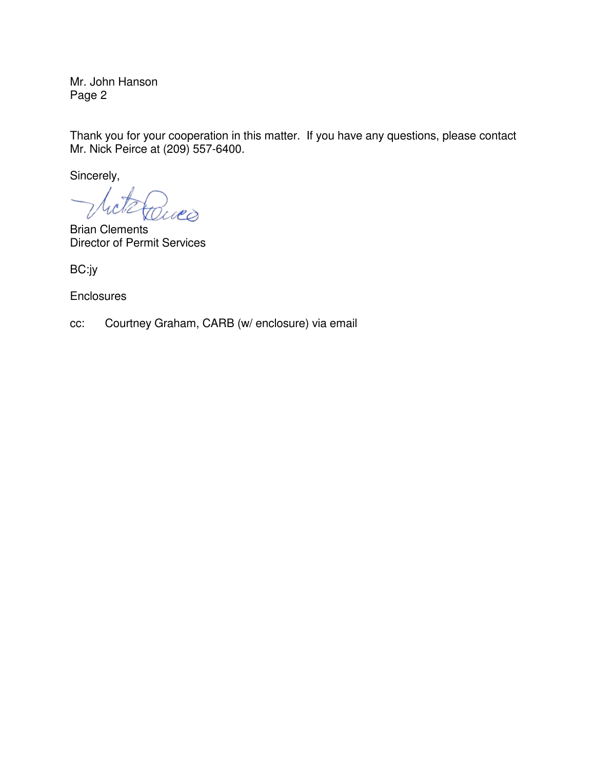Mr. John Hanson Page 2

Thank you for your cooperation in this matter. If you have any questions, please contact Mr. Nick Peirce at (209) 557-6400.

Sincerely,

cli ues

Brian Clements Director of Permit Services

BC:jy

**Enclosures** 

cc: Courtney Graham, CARB (w/ enclosure) via email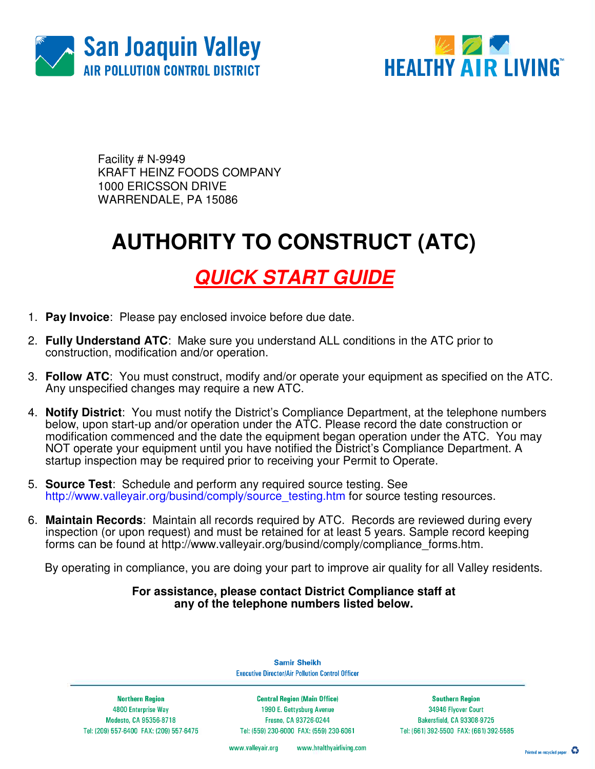



Facility # N-9949 KRAFT HEINZ FOODS COMPANY 1000 ERICSSON DRIVE WARRENDALE, PA 15086

# **AUTHORITY TO CONSTRUCT (ATC)**

### **QUICK START GUIDE**

- 1. **Pay Invoice**: Please pay enclosed invoice before due date.
- 2. **Fully Understand ATC**: Make sure you understand ALL conditions in the ATC prior to construction, modification and/or operation.
- 3. **Follow ATC**: You must construct, modify and/or operate your equipment as specified on the ATC. Any unspecified changes may require a new ATC.
- 4. **Notify District**: You must notify the District's Compliance Department, at the telephone numbers below, upon start-up and/or operation under the ATC. Please record the date construction or modification commenced and the date the equipment began operation under the ATC. You may NOT operate your equipment until you have notified the District's Compliance Department. A startup inspection may be required prior to receiving your Permit to Operate.
- 5. **Source Test**:Schedule and perform any required source testing. See http://www.valleyair.org/busind/comply/source\_testing.htm for source testing resources.
- 6. **Maintain Records**:Maintain all records required by ATC. Records are reviewed during every inspection (or upon request) and must be retained for at least 5 years. Sample record keeping forms can be found at http://www.valleyair.org/busind/comply/compliance\_forms.htm.

By operating in compliance, you are doing your part to improve air quality for all Valley residents.

#### **For assistance, please contact District Compliance staff at any of the telephone numbers listed below.**

**Northern Region** 

4800 Enterprise Way Modesto, CA 95356-8718 Tel: (209) 557-6400 FAX: (209) 557-6475

**Central Region (Main Office)** 1990 E. Gettysburg Avenue Fresno, CA 93726-0244 Tel: (559) 230-6000 FAX: (559) 230-6061

**Samir Sheikh Executive Director/Air Pollution Control Officer** 

> **Southern Region** 34946 Flyover Court Bakersfield, CA 93308-9725 Tel: (661) 392-5500 FAX: (661) 392-5585

www.valleyair.org www.healthyairliving.com

Printed on recycled paper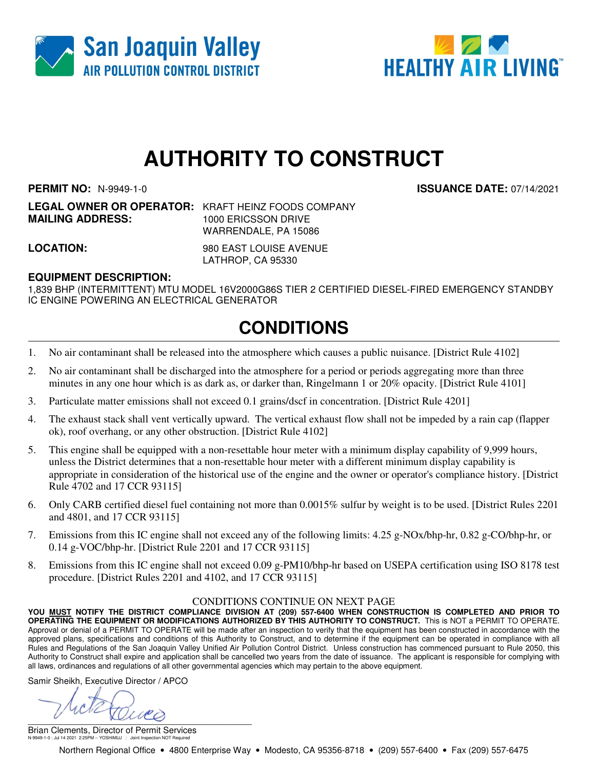



# **AUTHORITY TO CONSTRUCT**

**PERMIT NO:** N-9949-1-0 **ISSUANCE DATE:** 07/14/2021

**LEGAL OWNER OR OPERATOR:** KRAFT HEINZ FOODS COMPANY **MAILING ADDRESS:** 1000 ERICSSON DRIVE WARRENDALE, PA 15086

**LOCATION:** 980 EAST LOUISE AVENUE LATHROP, CA 95330

#### **EQUIPMENT DESCRIPTION:**

1,839 BHP (INTERMITTENT) MTU MODEL 16V2000G86S TIER 2 CERTIFIED DIESEL-FIRED EMERGENCY STANDBY IC ENGINE POWERING AN ELECTRICAL GENERATOR

### **CONDITIONS**

- 1. No air contaminant shall be released into the atmosphere which causes a public nuisance. [District Rule 4102]
- 2. No air contaminant shall be discharged into the atmosphere for a period or periods aggregating more than three minutes in any one hour which is as dark as, or darker than, Ringelmann 1 or 20% opacity. [District Rule 4101]
- 3. Particulate matter emissions shall not exceed 0.1 grains/dscf in concentration. [District Rule 4201]
- 4. The exhaust stack shall vent vertically upward. The vertical exhaust flow shall not be impeded by a rain cap (flapper ok), roof overhang, or any other obstruction. [District Rule 4102]
- 5. This engine shall be equipped with a non-resettable hour meter with a minimum display capability of 9,999 hours, unless the District determines that a non-resettable hour meter with a different minimum display capability is appropriate in consideration of the historical use of the engine and the owner or operator's compliance history. [District Rule 4702 and 17 CCR 93115]
- 6. Only CARB certified diesel fuel containing not more than 0.0015% sulfur by weight is to be used. [District Rules 2201 and 4801, and 17 CCR 93115]
- 7. Emissions from this IC engine shall not exceed any of the following limits: 4.25 g-NOx/bhp-hr, 0.82 g-CO/bhp-hr, or 0.14 g-VOC/bhp-hr. [District Rule 2201 and 17 CCR 93115]
- 8. Emissions from this IC engine shall not exceed 0.09 g-PM10/bhp-hr based on USEPA certification using ISO 8178 test procedure. [District Rules 2201 and 4102, and 17 CCR 93115]

#### CONDITIONS CONTINUE ON NEXT PAGE

**YOU MUST NOTIFY THE DISTRICT COMPLIANCE DIVISION AT (209) 557-6400 WHEN CONSTRUCTION IS COMPLETED AND PRIOR TO OPERATING THE EQUIPMENT OR MODIFICATIONS AUTHORIZED BY THIS AUTHORITY TO CONSTRUCT.** This is NOT a PERMIT TO OPERATE. Approval or denial of a PERMIT TO OPERATE will be made after an inspection to verify that the equipment has been constructed in accordance with the approved plans, specifications and conditions of this Authority to Construct, and to determine if the equipment can be operated in compliance with all Rules and Regulations of the San Joaquin Valley Unified Air Pollution Control District. Unless construction has commenced pursuant to Rule 2050, this Authority to Construct shall expire and application shall be cancelled two years from the date of issuance. The applicant is responsible for complying with all laws, ordinances and regulations of all other governmental agencies which may pertain to the above equipment.

Samir Sheikh, Executive Director / APCO

 $\sum_{i=1}^n x_i = 1$ 

Brian Clements, Director of Permit Services N-9949-1-0 : Jul 14 2021 2:25PM -- YOSHIMUJ : Joint Inspection NOT Required

Northern Regional Office • 4800 Enterprise Way • Modesto, CA 95356-8718 • (209) 557-6400 • Fax (209) 557-6475